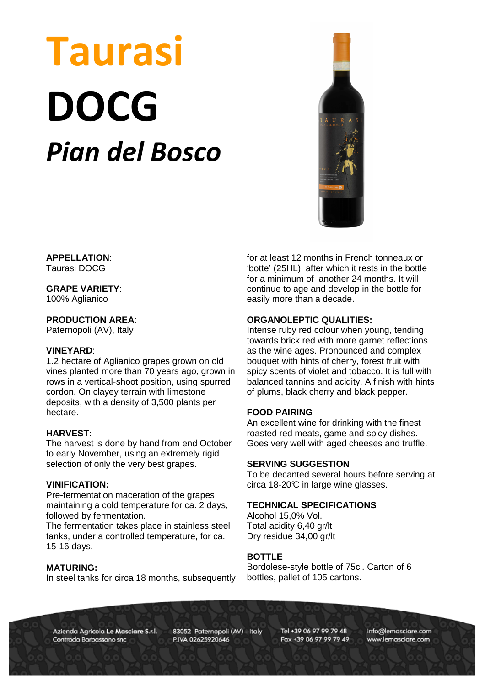# Taurasi DOCG Pian del Bosco



**APPELLATION**: Taurasi DOCG

# **GRAPE VARIETY**:

100% Aglianico

## **PRODUCTION AREA**:

Paternopoli (AV), Italy

#### **VINEYARD**:

1.2 hectare of Aglianico grapes grown on old vines planted more than 70 years ago, grown in rows in a vertical-shoot position, using spurred cordon. On clayey terrain with limestone deposits, with a density of 3,500 plants per hectare.

### **HARVEST:**

The harvest is done by hand from end October to early November, using an extremely rigid selection of only the very best grapes.

#### **VINIFICATION:**

Pre-fermentation maceration of the grapes maintaining a cold temperature for ca. 2 days, followed by fermentation.

The fermentation takes place in stainless steel tanks, under a controlled temperature, for ca. 15-16 days.

#### **MATURING:**

In steel tanks for circa 18 months, subsequently

for at least 12 months in French tonneaux or 'botte' (25HL), after which it rests in the bottle for a minimum of another 24 months. It will continue to age and develop in the bottle for easily more than a decade.

## **ORGANOLEPTIC QUALITIES:**

Intense ruby red colour when young, tending towards brick red with more garnet reflections as the wine ages. Pronounced and complex bouquet with hints of cherry, forest fruit with spicy scents of violet and tobacco. It is full with balanced tannins and acidity. A finish with hints of plums, black cherry and black pepper.

#### **FOOD PAIRING**

An excellent wine for drinking with the finest roasted red meats, game and spicy dishes. Goes very well with aged cheeses and truffle.

#### **SERVING SUGGESTION**

To be decanted several hours before serving at circa 18-20°C in large wine glasses.

#### **TECHNICAL SPECIFICATIONS**

Alcohol 15,0% Vol. Total acidity 6,40 gr/lt Dry residue 34,00 gr/lt

## **BOTTLE**

Bordolese-style bottle of 75cl. Carton of 6 bottles, pallet of 105 cartons.

Azienda Agricola Le Masciare S.r.l. Contrada Barbassano snc

83052 Paternopoli (AV) - Italy P.IVA 02625920646

Tel +39 06 97 99 79 48 Fax +39 06 97 99 79 49 info@lemasciare.com www.lemasciare.com